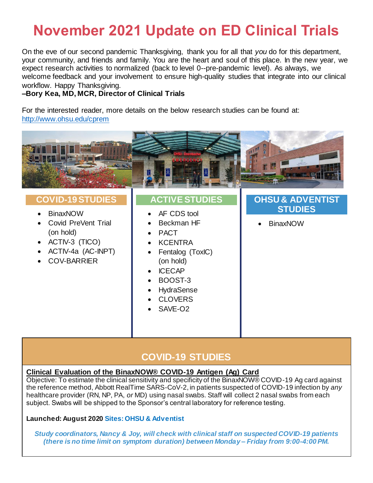# **November 2021 Update on ED Clinical Trials**

On the eve of our second pandemic Thanksgiving, thank you for all that *you* do for this department, your community, and friends and family. You are the heart and soul of this place. In the new year, we expect research activities to normalized (back to level 0--pre-pandemic level). As always, we welcome feedback and your involvement to ensure high-quality studies that integrate into our clinical workflow. Happy Thanksgiving.

## **–Bory Kea, MD, MCR, Director of Clinical Trials**

For the interested reader, more details on the below research studies can be found at: <http://www.ohsu.edu/cprem>



## **COVID-19 STUDIES**

## **Clinical Evaluation of the BinaxNOW® COVID-19 Antigen (Ag) Card**

Objective: To estimate the clinical sensitivity and specificity of the BinaxNOW® COVID-19 Ag card against the reference method, Abbott RealTime SARS-CoV-2, in patients suspected of COVID-19 infection by *any* healthcare provider (RN, NP, PA, *or* MD) using nasal swabs. Staff will collect 2 nasal swabs from each subject. Swabs will be shipped to the Sponsor's central laboratory for reference testing.

## **Launched: August 2020 Sites: OHSU & Adventist**

*Study coordinators, Nancy & Joy, will check with clinical staff on suspected COVID-19 patients (there is no time limit on symptom duration) between Monday – Friday from 9:00-4:00 PM.*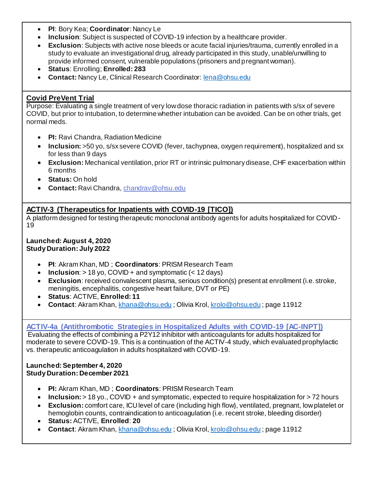- **PI**: Bory Kea; **Coordinator**: Nancy Le
- **Inclusion**: Subject is suspected of COVID-19 infection by a healthcare provider.
- **Exclusion**: Subjects with active nose bleeds or acute facial injuries/trauma, currently enrolled in a study to evaluate an investigational drug, already participated in this study, unable/unwilling to provide informed consent, vulnerable populations (prisoners and pregnant woman).
- **Status**: Enrolling; **Enrolled: 283**
- **Contact:** Nancy Le, Clinical Research Coordinator[: lena@ohsu.edu](mailto:lena@ohsu.edu)

## **Covid PreVent Trial**

Purpose: Evaluating a single treatment of very low dose thoracic radiation in patients with s/sx of severe COVID, but prior to intubation, to determine whether intubation can be avoided. Can be on other trials, get normal meds.

- **PI:** Ravi Chandra, Radiation Medicine
- **Inclusion:** >50 yo, s/sx severe COVID (fever, tachypnea, oxygen requirement), hospitalized and sx for less than 9 days
- **Exclusion:** Mechanical ventilation, prior RT or intrinsic pulmonary disease, CHF exacerbation within 6 months
- **Status:** On hold
- **Contact:** Ravi Chandra[, chandrav@ohsu.edu](mailto:chandrav@ohsu.edu)

## **ACTIV-3 (Therapeutics for Inpatients with COVID-19 [TICO])**

A platform designed for testing therapeutic monoclonal antibody agents for adults hospitalized for COVID-19

#### **Launched: August 4, 2020 Study Duration: July 2022**

- **PI**: Akram Khan, MD ; **Coordinators**: PRISM Research Team
- **Inclusion**: > 18 yo, COVID + and symptomatic (< 12 days)
- **Exclusion**: received convalescent plasma, serious condition(s) present at enrollment (i.e. stroke, meningitis, encephalitis, congestive heart failure, DVT or PE)
- **Status**: ACTIVE, **Enrolled: 11**
- **Contact**: Akram Khan[, khana@ohsu.edu](mailto:khana@ohsu.edu) ; Olivia Krol[, krolo@ohsu.edu](mailto:krolo@ohsu.edu) ; page 11912

## **ACTIV-4a [\(Antithrombotic Strategies in Hospitalized Adults with COVID-19 \[AC-INPT\]\)](https://clinicaltrials.gov/ct2/show/NCT04505774)**

Evaluating the effects of combining a P2Y12 inhibitor with anticoagulants for adults hospitalized for moderate to severe COVID-19. This is a continuation of the ACTIV-4 study, which evaluated prophylactic vs. therapeutic anticoagulation in adults hospitalized with COVID-19.

#### **Launched: September 4, 2020 Study Duration: December 2021**

- **PI:** Akram Khan, MD ; **Coordinators**: PRISM Research Team
- **Inclusion:**  $> 18$  yo., COVID + and symptomatic, expected to require hospitalization for  $> 72$  hours
- **Exclusion:** comfort care, ICU level of care (including high flow), ventilated, pregnant, low platelet or hemoglobin counts, contraindication to anticoagulation (i.e. recent stroke, bleeding disorder)
- **Status:** ACTIVE, **Enrolled**: **20**
- **Contact**: Akram Khan[, khana@ohsu.edu](mailto:khana@ohsu.edu) ; Olivia Krol[, krolo@ohsu.edu](mailto:krolo@ohsu.edu) ; page 11912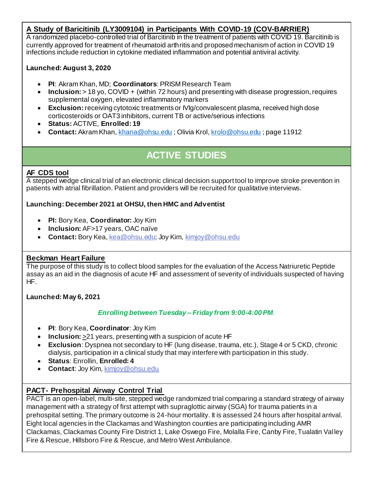## **A Study of Baricitinib (LY3009104) in Participants With COVID-19 (COV-BARRIER)**

A randomized placebo-controlled trial of Barcitinib in the treatment of patients with COVID 19. Barcitinib is currently approved for treatment of rheumatoid arthritis and proposed mechanism of action in COVID 19 infections include reduction in cytokine mediated inflammation and potential antiviral activity.

## **Launched: August 3, 2020**

- **PI**: Akram Khan, MD; **Coordinators**: PRISM Research Team
- **Inclusion:** > 18 yo, COVID + (within 72 hours) and presenting with disease progression, requires supplemental oxygen, elevated inflammatory markers
- **Exclusion:** receiving cytotoxic treatments or IVIg/convalescent plasma, received high dose corticosteroids or OAT3 inhibitors, current TB or active/serious infections
- **Status:** ACTIVE, **Enrolled: 19**
- **Contact:** Akram Khan[, khana@ohsu.edu](mailto:khana@ohsu.edu) ; Olivia Krol[, krolo@ohsu.edu](mailto:krolo@ohsu.edu) ; page 11912

# **ACTIVE STUDIES**

## **AF CDS tool**

A stepped wedge clinical trial of an electronic clinical decision support tool to improve stroke prevention in patients with atrial fibrillation. Patient and providers will be recruited for qualitative interviews.

## **Launching: December 2021 at OHSU, then HMC and Adventist**

- **PI:** Bory Kea, **Coordinator:** Joy Kim
- **Inclusion:** AF>17 years, OAC naïve
- **Contact:** Bory Kea[, kea@ohsu.edu;](mailto:kea@ohsu.edu) Joy Kim, [kimjoy@ohsu.edu](mailto:kimjoy@ohsu.edu)

## **Beckman Heart Failure**

The purpose of this study is to collect blood samples for the evaluation of the Access Natriuretic Peptide assay as an aid in the diagnosis of acute HF and assessment of severity of individuals suspected of having HF.

## **Launched: May 6, 2021**

## *Enrolling between Tuesday – Friday from 9:00-4:00PM*.

- **PI**: Bory Kea, **Coordinator**: Joy Kim
- **Inclusion:** >21 years, presenting with a suspicion of acute HF
- **Exclusion**: Dyspnea not secondary to HF (lung disease, trauma, etc.), Stage 4 or 5 CKD, chronic dialysis, participation in a clinical study that may interfere with participation in this study.
- **Status**: Enrollin, **Enrolled: 4**
- **Contact**: Joy Kim, [kimjoy@ohsu.edu](mailto:kimjoy@ohsu.edu)

## **PACT- Prehospital Airway Control Trial**

PACT is an open-label, multi-site, stepped wedge randomized trial comparing a standard strategy of airway management with a strategy of first attempt with supraglottic airway (SGA) for trauma patients in a prehospital setting. The primary outcome is 24-hour mortality. It is assessed 24 hours after hospital arrival. Eight local agencies in the Clackamas and Washington counties are participating including AMR Clackamas, Clackamas County Fire District 1, Lake Oswego Fire, Molalla Fire, Canby Fire, Tualatin Val ley Fire & Rescue, Hillsboro Fire & Rescue, and Metro West Ambulance.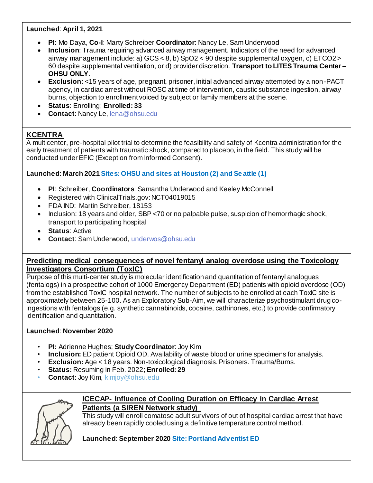## **Launched**: **April 1, 2021**

- **PI**: Mo Daya, **Co-I**: Marty Schreiber **Coordinator**: Nancy Le, Sam Underwood
- **Inclusion**: Trauma requiring advanced airway management. Indicators of the need for advanced airway management include: a) GCS < 8, b) SpO2 < 90 despite supplemental oxygen, c) ETCO2 > 60 despite supplemental ventilation, or d) provider discretion. **Transport to LITES Trauma Center – OHSU ONLY**.
- **Exclusion**: <15 years of age, pregnant, prisoner, initial advanced airway attempted by a non-PACT agency, in cardiac arrest without ROSC at time of intervention, caustic substance ingestion, airway burns, objection to enrollment voiced by subject or family members at the scene.
- **Status**: Enrolling; **Enrolled: 33**
- **Contact**: Nancy Le[, lena@ohsu.edu](mailto:lena@ohsu.edu)

## **KCENTRA**

A multicenter, pre-hospital pilot trial to determine the feasibility and safety of Kcentra administration for the early treatment of patients with traumatic shock, compared to placebo, in the field. This study will be conducted under EFIC (Exception from Informed Consent).

## **Launched**: **March 2021 Sites: OHSU and sites at Houston (2) and Se attle (1)**

- **PI**: Schreiber, **Coordinators**: Samantha Underwood and Keeley McConnell
- Registered with ClinicalTrials.gov: NCT04019015
- FDA IND: Martin Schreiber, 18153
- Inclusion: 18 years and older, SBP <70 or no palpable pulse, suspicion of hemorrhagic shock, transport to participating hospital
- **Status: Active**
- **Contact**: Sam Underwood[, underwos@ohsu.edu](mailto:underwos@ohsu.edu)

## **Predicting medical consequences of novel fentanyl analog overdose using the Toxicology Investigators Consortium (ToxIC)**

Purpose of this multi-center study is molecular identification and quantitation of fentanyl analogues (fentalogs) in a prospective cohort of 1000 Emergency Department (ED) patients with opioid overdose (OD) from the established ToxIC hospital network. The number of subjects to be enrolled at each ToxIC site is approximately between 25-100. As an Exploratory Sub-Aim, we will characterize psychostimulant drug coingestions with fentalogs (e.g. synthetic cannabinoids, cocaine, cathinones, etc.) to provide confirmatory identification and quantitation.

## **Launched**: **November 2020**

- **PI:** Adrienne Hughes; **Study Coordinator**: Joy Kim
- **Inclusion:** ED patient Opioid OD. Availability of waste blood or urine specimens for analysis.
- **Exclusion:** Age < 18 years. Non-toxicological diagnosis. Prisoners. Trauma/Burns.
- **Status:** Resuming in Feb. 2022; **Enrolled: 29**
- **Contact:** Joy Kim, kimjoy@ohsu.edu



## **ICECAP- Influence of Cooling Duration on Efficacy in Cardiac Arrest Patients (a SIREN Network study)**

This study will enroll comatose adult survivors of out of hospital cardiac arrest that have already been rapidly cooled using a definitive temperature control method.

## **Launched**: **September 2020 Site: Portland Adventist ED**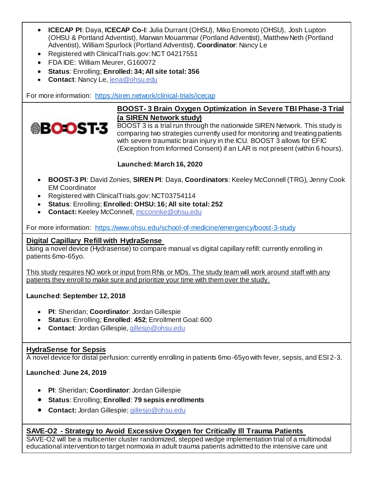- **ICECAP PI**: Daya, **ICECAP Co-I**: Julia Durrant (OHSU), Miko Enomoto (OHSU), Josh Lupton (OHSU & Portland Adventist), Marwan Mouammar (Portland Adventist), Matthew Neth (Portland Adventist), William Spurlock (Portland Adventist), **Coordinator**: Nancy Le
- Registered with ClinicalTrials.gov: NCT 04217551
- FDA IDE: William Meurer, G160072
- **Status**: Enrolling; **Enrolled: 34; All site total: 356**
- **Contact**: Nancy Le[, lena@ohsu.edu](mailto:lena@ohsu.edu)

For more information:<https://siren.network/clinical-trials/icecap>



## **BOOST- 3 Brain Oxygen Optimization in Severe TBI Phase-3 Trial (a SIREN Network study)**

BOOST 3 is a trial run through the nationwide SIREN Network. This study is comparing two strategies currently used for monitoring and treating patients with severe traumatic brain injury in the ICU. BOOST 3 allows for EFIC (Exception from Informed Consent) if an LAR is not present (within 6 hours).

## **Launched: March 16, 2020**

- **BOOST-3 PI**: David Zonies, **SIREN PI**: Daya, **Coordinators**: Keeley McConnell (TRG), Jenny Cook EM Coordinator
- Registered with ClinicalTrials.gov: NCT03754114
- **Status**: Enrolling; **Enrolled: OHSU: 16; All site total: 252**
- **Contact: Keeley McConnell[, mcconnke@ohsu.edu](mailto:mcconnke@ohsu.edu)**

For more information:<https://www.ohsu.edu/school-of-medicine/emergency/boost-3-study>

## **Digital Capillary Refill with HydraSense**

Using a novel device (Hydrasense) to compare manual vs digital capillary refill: currently enrolling in patients 6mo-65yo.

This study requires NO work or input from RNs or MDs. The study team will work around staff with any patients they enroll to make sure and prioritize your time with them over the study.

**Launched**: **September 12, 2018**

- **PI**: Sheridan; **Coordinator**: Jordan Gillespie
- **Status**: Enrolling; **Enrolled**: **452**; Enrollment Goal: 600
- **Contact**: Jordan Gillespie, [gillesjo@ohsu.edu](mailto:gillesjo@ohsu.edu)

## **HydraSense for Sepsis**

A novel device for distal perfusion: currently enrolling in patients 6mo-65yo with fever, sepsis, and ESI 2-3.

**Launched**: **June 24, 2019**

- **PI**: Sheridan; **Coordinator**: Jordan Gillespie
- **Status**: Enrolling; **Enrolled**: **79 sepsis enrollments**
- **Contact:** Jordan Gillespie[; gillesjo@ohsu.edu](mailto:gillesjo@ohsu.edu)

## **SAVE-O2 - Strategy to Avoid Excessive Oxygen for Critically Ill Trauma Patients**

SAVE-O2 will be a multicenter cluster randomized, stepped wedge implementation trial of a multimodal educational intervention to target normoxia in adult trauma patients admitted to the intensive care unit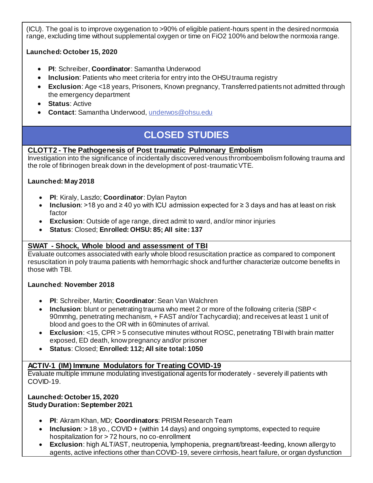(ICU). The goal is to improve oxygenation to >90% of eligible patient-hours spent in the desired normoxia range, excluding time without supplemental oxygen or time on FiO2 100% and below the normoxia range.

## **Launched: October 15, 2020**

- **PI**: Schreiber, **Coordinator**: Samantha Underwood
- **Inclusion**: Patients who meet criteria for entry into the OHSU trauma registry
- **Exclusion**: Age <18 years, Prisoners, Known pregnancy, Transferred patients not admitted through the emergency department
- **Status: Active**
- **Contact**: Samantha Underwood[, underwos@ohsu.edu](mailto:underwos@ohsu.edu)

# **CLOSED STUDIES**

## **CLOTT2 - The Pathogenesis of Post traumatic Pulmonary Embolism**

Investigation into the significance of incidentally discovered venous thromboembolism following trauma and the role of fibrinogen break down in the development of post-traumatic VTE.

## **Launched: May 2018**

- **PI**: Kiraly, Laszlo; **Coordinator**: Dylan Payton
- **Inclusion**: >18 yo and ≥ 40 yo with ICU admission expected for ≥ 3 days and has at least on risk factor
- **Exclusion**: Outside of age range, direct admit to ward, and/or minor injuries
- **Status**: Closed; **Enrolled: OHSU: 85; All site: 137**

## **SWAT - Shock, Whole blood and assessment of TBI**

Evaluate outcomes associated with early whole blood resuscitation practice as compared to component resuscitation in poly trauma patients with hemorrhagic shock and further characterize outcome benefits in those with TBI.

## **Launched**: **November 2018**

- **PI**: Schreiber, Martin; **Coordinator**: Sean Van Walchren
- **Inclusion**: blunt or penetrating trauma who meet 2 or more of the following criteria (SBP < 90mmhg, penetrating mechanism, + FAST and/or Tachycardia); and receives at least 1 unit of blood and goes to the OR with in 60minutes of arrival.
- **Exclusion**: <15, CPR > 5 consecutive minutes without ROSC, penetrating TBI with brain matter exposed, ED death, know pregnancy and/or prisoner
- **Status**: Closed; **Enrolled: 112; All site total: 1050**

## **ACTIV-1 (IM) Immune Modulators for Treating COVID-19**

Evaluate multiple immune modulating investigational agents for moderately - severely ill patients with COVID-19.

## **Launched: October 15, 2020 Study Duration: September 2021**

- **PI**: Akram Khan, MD; **Coordinators**: PRISM Research Team
- **Inclusion**: > 18 yo., COVID + (within 14 days) and ongoing symptoms, expected to require hospitalization for > 72 hours, no co-enrollment
- **Exclusion**: high ALT/AST, neutropenia, lymphopenia, pregnant/breast-feeding, known allergy to agents, active infections other than COVID-19, severe cirrhosis, heart failure, or organ dysfunction